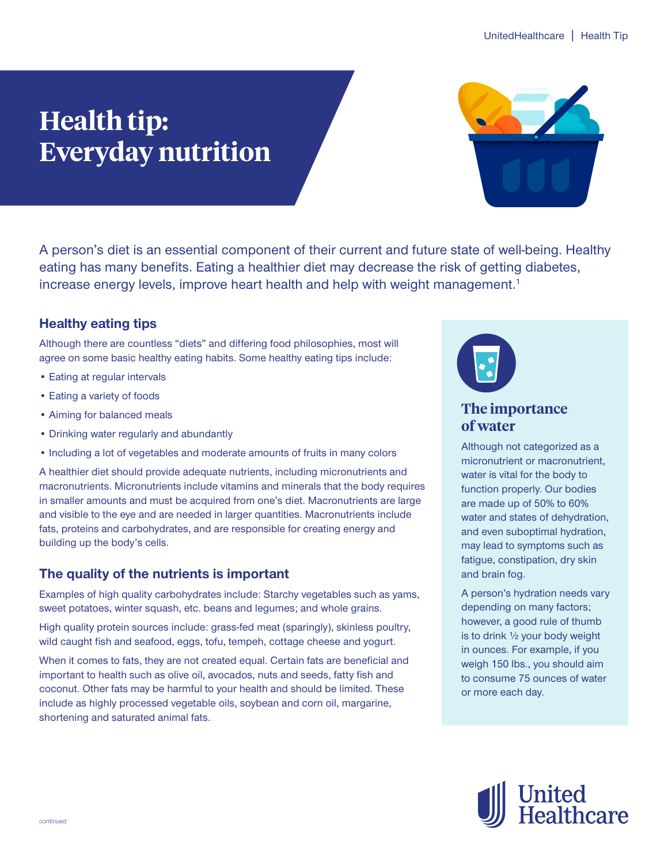# **Health tip: Everyday nutrition**



A person's diet is an essential component of their current and future state of well-being. Healthy eating has many benefits. Eating a healthier diet may decrease the risk of getting diabetes, increase energy levels, improve heart health and help with weight management.<sup>1</sup>

## **Healthy eating tips**

Although there are countless "diets" and differing food philosophies, most will agree on some basic healthy eating habits. Some healthy eating tips include:

- Eating at regular intervals
- Eating a variety of foods
- Aiming for balanced meals
- Drinking water regularly and abundantly
- Including a lot of vegetables and moderate amounts of fruits in many colors

A healthier diet should provide adequate nutrients, including micronutrients and macronutrients. Micronutrients include vitamins and minerals that the body requires in smaller amounts and must be acquired from one's diet. Macronutrients are large and visible to the eye and are needed in larger quantities. Macronutrients include fats, proteins and carbohydrates, and are responsible for creating energy and building up the body's cells.

### **The quality of the nutrients is important**

Examples of high quality carbohydrates include: Starchy vegetables such as yams, sweet potatoes, winter squash, etc. beans and legumes; and whole grains.

High quality protein sources include: grass-fed meat (sparingly), skinless poultry, wild caught fish and seafood, eggs, tofu, tempeh, cottage cheese and yogurt.

When it comes to fats, they are not created equal. Certain fats are beneficial and important to health such as olive oil, avocados, nuts and seeds, fatty fish and coconut. Other fats may be harmful to your health and should be limited. These include as highly processed vegetable oils, soybean and corn oil, margarine, shortening and saturated animal fats.



## **The importance of water**

Although not categorized as a micronutrient or macronutrient, water is vital for the body to function properly. Our bodies are made up of 50% to 60% water and states of dehydration, and even suboptimal hydration, may lead to symptoms such as fatigue, constipation, dry skin and brain fog.

A person's hydration needs vary depending on many factors; however, a good rule of thumb is to drink ½ your body weight in ounces. For example, if you weigh 150 lbs., you should aim to consume 75 ounces of water or more each day.